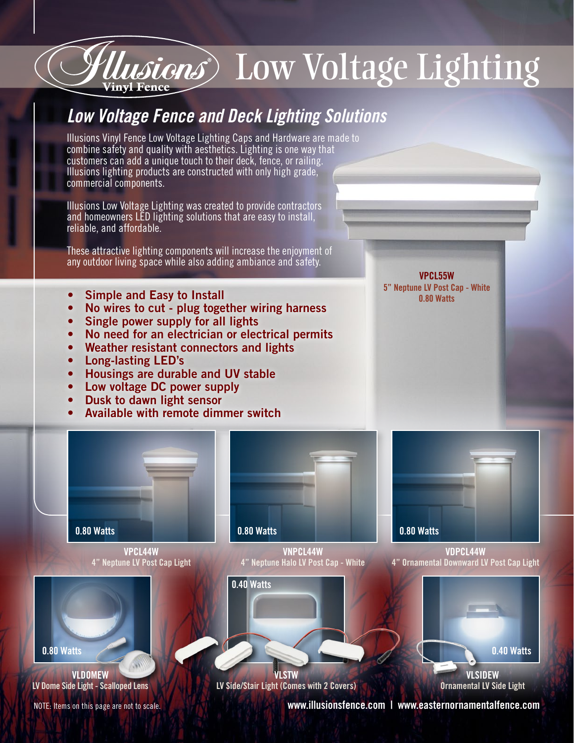## Low Voltage Lighting

## *Low Voltage Fence and Deck Lighting Solutions*

Illusions Vinyl Fence Low Voltage Lighting Caps and Hardware are made to combine safety and quality with aesthetics. Lighting is one way that customers can add a unique touch to their deck, fence, or railing. Illusions lighting products are constructed with only high grade, commercial components.

Illusions Low Voltage Lighting was created to provide contractors and homeowners LED lighting solutions that are easy to install, reliable, and affordable.

These attractive lighting components will increase the enjoyment of any outdoor living space while also adding ambiance and safety.

- Simple and Easy to Install
- No wires to cut plug together wiring harness
- Single power supply for all lights
- No need for an electrician or electrical permits
- Weather resistant connectors and lights
- Long-lasting LED's
- Housings are durable and UV stable
- Low voltage DC power supply
- Dusk to dawn light sensor
- Available with remote dimmer switch